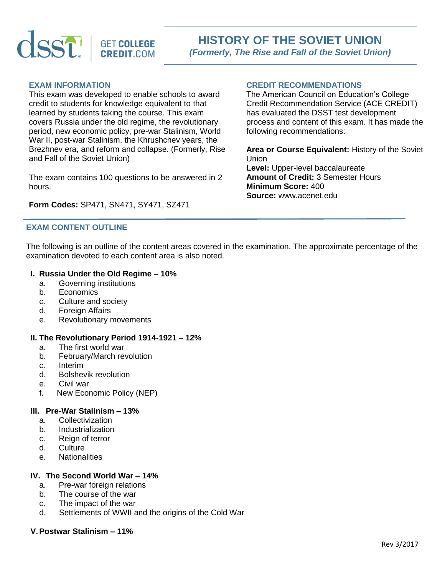

# **EXAM INFORMATION**

This exam was developed to enable schools to award credit to students for knowledge equivalent to that learned by students taking the course. This exam covers Russia under the old regime, the revolutionary period, new economic policy, pre-war Stalinism, World War II, post-war Stalinism, the Khrushchev years, the Brezhnev era, and reform and collapse. (Formerly, Rise and Fall of the Soviet Union)

The exam contains 100 questions to be answered in 2 hours.

**Form Codes:** SP471, SN471, SY471, SZ471

## **EXAM CONTENT OUTLINE**

## **CREDIT RECOMMENDATIONS**

The American Council on Education's College Credit Recommendation Service (ACE CREDIT) has evaluated the DSST test development process and content of this exam. It has made the following recommendations:

**Area or Course Equivalent:** History of the Soviet Union **Level:** Upper-level baccalaureate **Amount of Credit:** 3 Semester Hours **Minimum Score:** 400 **Source:** www.acenet.edu

The following is an outline of the content areas covered in the examination. The approximate percentage of the examination devoted to each content area is also noted.

## **I. Russia Under the Old Regime – 10%**

- a. Governing institutions
- b. Economics
- c. Culture and society
- d. Foreign Affairs
- e. Revolutionary movements

## **II. The Revolutionary Period 1914-1921 – 12%**

- a. The first world war
- b. February/March revolution
- c. Interim
- d. Bolshevik revolution
- e. Civil war
- f. New Economic Policy (NEP)

## **III. Pre-War Stalinism – 13%**

- a. Collectivization
- b. Industrialization
- c. Reign of terror
- d. Culture
- e. Nationalities

## **IV. The Second World War – 14%**

- a. Pre-war foreign relations
- b. The course of the war
- c. The impact of the war
- d. Settlements of WWII and the origins of the Cold War

#### **V.Postwar Stalinism – 11%**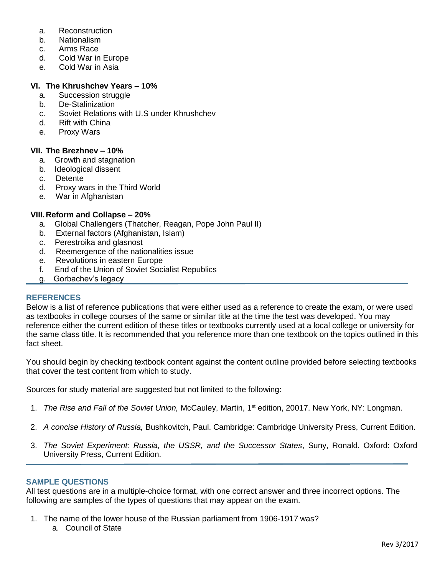- a. Reconstruction
- b. Nationalism
- c. Arms Race
- d. Cold War in Europe
- e. Cold War in Asia

## **VI. The Khrushchev Years – 10%**

- a. Succession struggle
- b. De-Stalinization
- c. Soviet Relations with U.S under Khrushchev
- d. Rift with China
- e. Proxy Wars

## **VII. The Brezhnev – 10%**

- a. Growth and stagnation
- b. Ideological dissent
- c. Detente
- d. Proxy wars in the Third World
- e. War in Afghanistan

## **VIII.Reform and Collapse – 20%**

- a. Global Challengers (Thatcher, Reagan, Pope John Paul II)
- b. External factors (Afghanistan, Islam)
- c. Perestroika and glasnost
- d. Reemergence of the nationalities issue
- e. Revolutions in eastern Europe
- f. End of the Union of Soviet Socialist Republics
- g. Gorbachev's legacy

## **REFERENCES**

Below is a list of reference publications that were either used as a reference to create the exam, or were used as textbooks in college courses of the same or similar title at the time the test was developed. You may reference either the current edition of these titles or textbooks currently used at a local college or university for the same class title. It is recommended that you reference more than one textbook on the topics outlined in this fact sheet.

You should begin by checking textbook content against the content outline provided before selecting textbooks that cover the test content from which to study.

Sources for study material are suggested but not limited to the following:

- 1. *The Rise and Fall of the Soviet Union,* McCauley, Martin, 1st edition, 20017. New York, NY: Longman.
- 2. *A concise History of Russia,* Bushkovitch, Paul. Cambridge: Cambridge University Press, Current Edition.
- 3. *The Soviet Experiment: Russia, the USSR, and the Successor States*, Suny, Ronald. Oxford: Oxford University Press, Current Edition.

## **SAMPLE QUESTIONS**

All test questions are in a multiple-choice format, with one correct answer and three incorrect options. The following are samples of the types of questions that may appear on the exam.

- 1. The name of the lower house of the Russian parliament from 1906-1917 was?
	- a. Council of State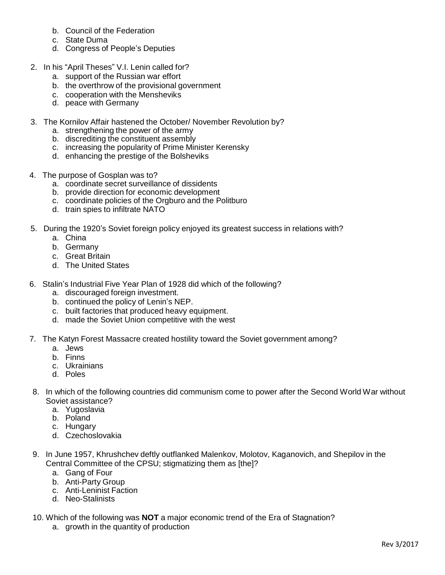- b. Council of the Federation
- c. State Duma
- d. Congress of People's Deputies
- 2. In his "April Theses" V.I. Lenin called for?
	- a. support of the Russian war effort
	- b. the overthrow of the provisional government
	- c. cooperation with the Mensheviks
	- d. peace with Germany
- 3. The Kornilov Affair hastened the October/ November Revolution by?
	- a. strengthening the power of the army
	- b. discrediting the constituent assembly
	- c. increasing the popularity of Prime Minister Kerensky
	- d. enhancing the prestige of the Bolsheviks
- 4. The purpose of Gosplan was to?
	- a. coordinate secret surveillance of dissidents
	- b. provide direction for economic development
	- c. coordinate policies of the Orgburo and the Politburo
	- d. train spies to infiltrate NATO
- 5. During the 1920's Soviet foreign policy enjoyed its greatest success in relations with?
	- a. China
	- b. Germany
	- c. Great Britain
	- d. The United States
- 6. Stalin's Industrial Five Year Plan of 1928 did which of the following?
	- a. discouraged foreign investment.
	- b. continued the policy of Lenin's NEP.
	- c. built factories that produced heavy equipment.
	- d. made the Soviet Union competitive with the west
- 7. The Katyn Forest Massacre created hostility toward the Soviet government among?
	- a. Jews
	- b. Finns
	- c. Ukrainians
	- d. Poles
- 8. In which of the following countries did communism come to power after the Second World War without Soviet assistance?
	- a. Yugoslavia
	- b. Poland
	- c. Hungary
	- d. Czechoslovakia
- 9. In June 1957, Khrushchev deftly outflanked Malenkov, Molotov, Kaganovich, and Shepilov in the Central Committee of the CPSU; stigmatizing them as [the]?
	- a. Gang of Four
	- b. Anti-Party Group
	- c. Anti-Leninist Faction
	- d. Neo-Stalinists
- 10. Which of the following was **NOT** a major economic trend of the Era of Stagnation?
	- a. growth in the quantity of production